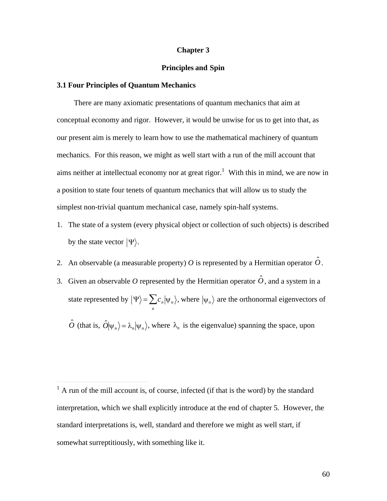#### **Chapter 3**

### **Principles and Spin**

#### **3.1 Four Principles of Quantum Mechanics**

 $\overline{a}$ 

There are many axiomatic presentations of quantum mechanics that aim at conceptual economy and rigor. However, it would be unwise for us to get into that, as our present aim is merely to learn how to use the mathematical machinery of quantum mechanics. For this reason, we might as well start with a run of the mill account that aims neither at intellectual economy nor at great rigor.<sup>1</sup> With this in mind, we are now in a position to state four tenets of quantum mechanics that will allow us to study the simplest non-trivial quantum mechanical case, namely spin-half systems.

- 1. The state of a system (every physical object or collection of such objects) is described by the state vector  $|\Psi\rangle$ .
- 2. An observable (a measurable property) O is represented by a Hermitian operator  $\hat{O}$ .
- $\mathbf{F}^{\text{eff}}$ 3. Given an observable O represented by the Hermitian operator  $\hat{O}$ , and a system in a state represented by  $|\Psi\rangle = \sum_{n} c_n |\psi_n\rangle$ , where  $|\psi_n\rangle$  are the orthonormal eigenvectors of  $\hat{O}$  (that is,  $\hat{O}|\psi_n\rangle = \lambda_n |\psi_n\rangle$ , where  $\lambda_n$  is the eigenvalue) spanning the space, upon

 $\mathcal{L}^{\text{th}}$ 

 $<sup>1</sup>$  A run of the mill account is, of course, infected (if that is the word) by the standard</sup> interpretation, which we shall explicitly introduce at the end of chapter 5. However, the standard interpretations is, well, standard and therefore we might as well start, if somewhat surreptitiously, with something like it.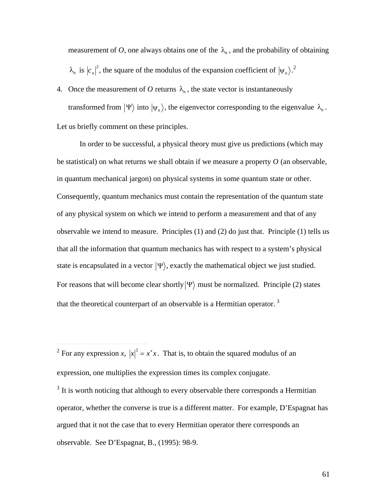measurement of O, one always obtains one of the  $\lambda_n$ , and the probability of obtaining  $\lambda_n$  is  $|c_n|^2$ , the square of the modulus of the expansion coefficient of  $|\psi_n\rangle$ .<sup>2</sup>

transformed from  $|\Psi\rangle$  into  $|\psi_n\rangle$ , the eigenvector corresponding to the eigenvalue  $\lambda_n$ . 4. Once the measurement of O returns  $\lambda_n$ , the state vector is instantaneously Let us briefly comment on these principles.

In order to be successful, a physical theory must give us predictions (which may be statistical) on what returns we shall obtain if we measure a property *O* (an observable, in quantum mechanical jargon) on physical systems in some quantum state or other. Consequently, quantum mechanics must contain the representation of the quantum state of any physical system on which we intend to perform a measurement and that of any observable we intend to measure. Principles (1) and (2) do just that. Principle (1) tells us that all the information that quantum mechanics has with respect to a system's physical state is encapsulated in a vector  $|\Psi\rangle$ , exactly the mathematical object we just studied. that the theoretical counterpart of an observable is a Hermitian operator.<sup>3</sup> For reasons that will become clear shortly  $|\Psi\rangle$  must be normalized. Principle (2) states

 $\frac{1}{\epsilon}$ <sup>2</sup> For any expression *x*,  $|x|^2 = x^*x$ . That is, to obtain the squared modulus of an expression, one multiplies the expression times its complex conjugate.

 $\overline{a}$ 

 $3$  It is worth noticing that although to every observable there corresponds a Hermitian operator, whether the converse is true is a different matter. For example, D'Espagnat has argued that it not the case that to every Hermitian operator there corresponds an observable. See D'Espagnat, B., (1995): 98-9.

61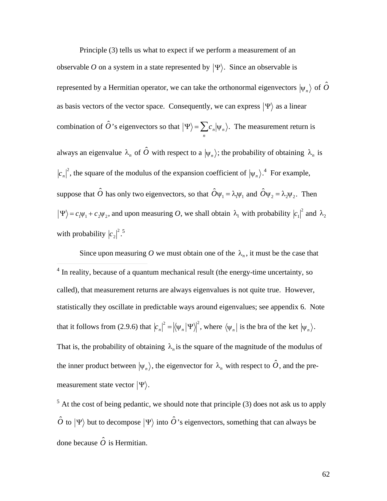Principle (3) tells us what to expect if we perform a measurement of an observable O on a system in a state represented by  $|\Psi\rangle$ . Since an observable is represented by a Hermitian operator, we can take the orthonormal eigenvectors  $|\psi_{_n}\rangle$  of  $\hat{O}$  $\mathbb{R}^n$ as basis vectors of the vector space. Consequently, we can express  $|\Psi\rangle$  as a linear combination of  $\hat{O}$ 's eigenvectors so that  $|\Psi\rangle = \sum_{n} c_n |\psi_n\rangle$ . The measurement return is always an eigenvalue  $\lambda_n$  of  $\hat{O}$  with respect to a  $|\psi_n\rangle$ ; the probability of obtaining  $\lambda_n$  is  $\sim$   $\sim$   $\sim$   $\sim$   $\sim$   $\sim$  $c_n$ <sup>2</sup>, the square of the modulus of the expansion coefficient of  $|\psi_n\rangle$ <sup>4</sup>. For example, suppose that  $\hat{O}$  has only two eigenvectors, so that  $\hat{O}\psi_1 = \lambda_1 \psi_1$  and  $\hat{O}\psi_2 = \lambda_2 \psi_2$ . Then  $\Psi$ ) =  $c_1\Psi_1 + c_2\Psi_2$ , and upon measuring *O*, we shall obtain  $\lambda_1$  with probability  $|c_1|^2$  and  $\lambda_2$ with probability  $|c_2|^2$ .<sup>5</sup>

 $\mathbf{f} = \begin{bmatrix} \mathbf{f} & \mathbf{f} \\ \mathbf{f} & \mathbf{f} \end{bmatrix}$  ,  $\mathbf{f} = \begin{bmatrix} \mathbf{f} & \mathbf{f} \\ \mathbf{f} & \mathbf{f} \end{bmatrix}$  ,  $\mathbf{f} = \begin{bmatrix} \mathbf{f} & \mathbf{f} \\ \mathbf{f} & \mathbf{f} \end{bmatrix}$  ,  $\mathbf{f} = \begin{bmatrix} \mathbf{f} & \mathbf{f} \\ \mathbf{f} & \mathbf{f} \end{bmatrix}$  $\frac{4 \times 1}{4 \times 1}$ Since upon measuring O we must obtain one of the  $\lambda_n$ , it must be the case that called), that measurement returns are always eigenvalues is not quite true. However, <sup>4</sup> In reality, because of a quantum mechanical result (the energy-time uncertainty, so statistically they oscillate in predictable ways around eigenvalues; see appendix 6. Note that it follows from (2.9.6) that  $|c_n|^2 = |\langle \Psi_n | \Psi \rangle|^2$ , where  $\langle \Psi_n |$  is the bra of the ket  $|\Psi_n \rangle$ .  $\hat{h}$  ,  $\hat{h}$  ,  $\hat{h}$  ,  $\hat{h}$  ,  $\hat{h}$  ,  $\hat{h}$  ,  $\hat{h}$  ,  $\hat{h}$  ,  $\hat{h}$  ,  $\hat{h}$  ,  $\hat{h}$  ,  $\hat{h}$ That is, the probability of obtaining  $\lambda_n$  is the square of the magnitude of the modulus of measurement state vector  $|\Psi\rangle$ . the inner product between  $|\psi_n\rangle$ , the eigenvector for  $\lambda_n$  with respect to  $\hat{O}$ , and the pre-

 $<sup>5</sup>$  At the cost of being pedantic, we should note that principle (3) does not ask us to apply</sup>  $\hat{O}$  to  $|\Psi\rangle$  but to decompose  $|\Psi\rangle$  into  $\hat{O}$ 's eigenvectors, something that can always be done because  $\hat{o}$  is Hermitian.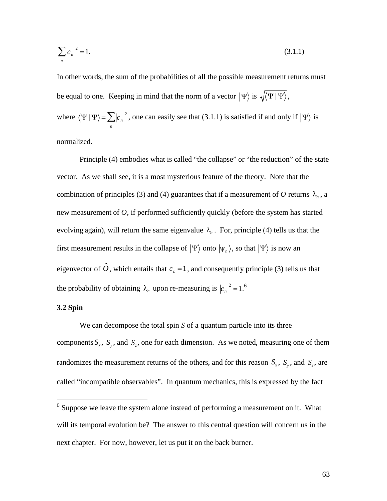$$
\sum_{n} |c_n|^2 = 1. \tag{3.1.1}
$$

In other words, the sum of the probabilities of all the possible measurement returns must be equal to one. Keeping in mind that the norm of a vector  $|\Psi\rangle$  is  $\sqrt{\langle \Psi | \Psi \rangle}$ , where  $\langle \Psi | \Psi \rangle = \sum_{n} |c_n|^2$ , one can easily see that (3.1.1) is satisfied if and only if  $|\Psi \rangle$  is

normalized.

Principle (4) embodies what is called "the collapse" or "the reduction" of the state vector. As we shall see, it is a most mysterious feature of the theory. Note that the combination of principles (3) and (4) guarantees that if a measurement of O returns  $\lambda_n$ , a new measurement of *O*, if performed sufficiently quickly (before the system has started evolving again), will return the same eigenvalue  $\lambda_n$ . For, principle (4) tells us that the first measurement results in the collapse of  $|\Psi\rangle$  onto  $|\psi_n\rangle$ , so that  $|\Psi\rangle$  is now an  $\frac{1}{2}$ eigenvector of  $\hat{O}$ , which entails that  $c_n = 1$ , and consequently principle (3) tells us that the probability of obtaining  $\lambda_n$  upon re-measuring is  $|c_n|^2 = 1.6$ 

# **3.2 Spin**

 $\overline{a}$ 

We can decompose the total spin  $S$  of a quantum particle into its three components  $S_x$ ,  $S_y$ , and  $S_z$ , one for each dimension. As we noted, measuring one of them  $\frac{1}{11}$   $\frac{1}{10}$   $\frac{1}{10}$   $\frac{1}{10}$ randomizes the measurement returns of the others, and for this reason  $S_x$ ,  $S_y$ , and  $S_z$ , are called "incompatible observables". In quantum mechanics, this is expressed by the fact

<sup>†</sup>  next chapter. For now, however, let us put it on the back burner.<sup>6</sup> Suppose we leave the system alone instead of performing a measurement on it. What will its temporal evolution be? The answer to this central question will concern us in the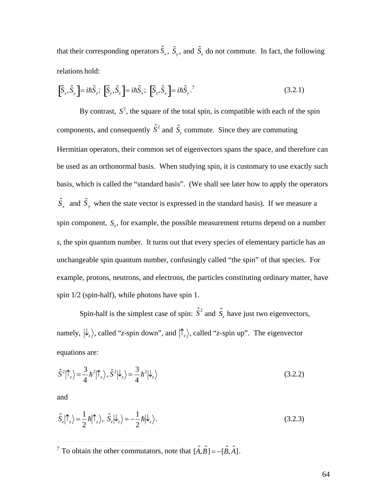that their corresponding operators  $\hat{S}_x$ ,  $\hat{S}_y$ , and  $\hat{S}_z$  do not commute. In fact, the following relations hold:

$$
\left[\hat{S}_x, \hat{S}_y\right] = i\hbar \hat{S}_z; \left[\hat{S}_y, \hat{S}_z\right] = i\hbar \hat{S}_x; \left[\hat{S}_z, \hat{S}_x\right] = i\hbar \hat{S}_y. \tag{3.2.1}
$$

components, and consequently  $\hat{S}^2$  and  $\hat{S}_z$  commute. Since they are commuting By contrast,  $S^2$ , the square of the total spin, is compatible with each of the spin Hermitian operators, their common set of eigenvectors spans the space, and therefore can be used as an orthonormal basis. When studying spin, it is customary to use exactly such basis, which is called the "standard basis". (We shall see later how to apply the operators  $\hat{S}_x$  and  $\hat{S}_y$  when the state vector is expressed in the standard basis). If we measure a spin component, *S<sup>z</sup>* , for example, the possible measurement returns depend on a number unchangeable spin quantum number, confusingly called "the spin" of that species. For *s*, the spin quantum number. It turns out that every species of elementary particle has an example, protons, neutrons, and electrons, the particles constituting ordinary matter, have spin 1/2 (spin-half), while photons have spin 1.

Spin-half is the simplest case of spin:  $\hat{S}^2$  and  $\hat{S}_z$  have just two eigenvectors, namely,  $\ket{\downarrow_z}$ , called "*z*-spin down", and  $\ket{\uparrow_z}$ , called "*z*-spin up". The eigenvector equations are:

$$
\hat{S}^2 \left| \hat{\Gamma}_z \right\rangle = \frac{3}{4} \hbar^2 \left| \hat{\Gamma}_z \right\rangle, \hat{S}^2 \left| \downarrow_z \right\rangle = \frac{3}{4} \hbar^2 \left| \downarrow_z \right\rangle \tag{3.2.2}
$$

and

 $\overline{a}$ 

$$
\hat{S}_z|\uparrow_z\rangle = \frac{1}{2}\hbar|\uparrow_z\rangle, \ \hat{S}_z|\downarrow_z\rangle = -\frac{1}{2}\hbar|\downarrow_z\rangle. \tag{3.2.3}
$$

 $\frac{1}{2}$ <sup>7</sup> To obtain the other commutators, note that  $[\hat{A}, \hat{B}] = -[\hat{B}, \hat{A}]$ .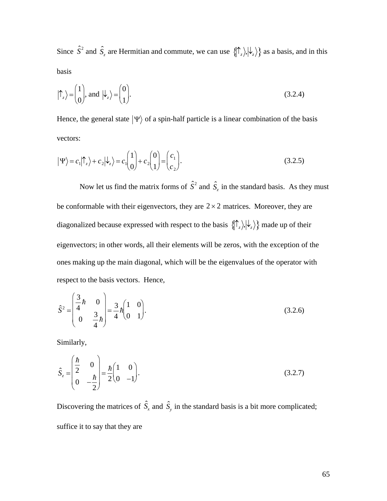Since  $\hat{S}^2$  and  $\hat{S}_z$  are Hermitian and commute, we can use  $\{\hat{\tau}_z, \hat{\psi}_z\}$  as a basis, and in this basis

$$
|\uparrow_z\rangle = \begin{pmatrix} 1 \\ 0 \end{pmatrix}, \text{ and } |\downarrow_z\rangle = \begin{pmatrix} 0 \\ 1 \end{pmatrix}.
$$
 (3.2.4)

Hence, the general state  $|\Psi\rangle$  of a spin-half particle is a linear combination of the basis vectors:

$$
|\Psi\rangle = c_1 |\uparrow_z\rangle + c_2 |\downarrow_z\rangle = c_1 \begin{pmatrix} 1 \\ 0 \end{pmatrix} + c_2 \begin{pmatrix} 0 \\ 1 \end{pmatrix} = \begin{pmatrix} c_1 \\ c_2 \end{pmatrix}.
$$
 (3.2.5)

Now let us find the matrix forms of  $\hat{S}^2$  and  $\hat{S}_z$  in the standard basis. As they must be conformable with their eigenvectors, they are  $2 \times 2$  matrices. Moreover, they are diagonalized because expressed with respect to the basis  $\{\uparrow_z\rangle, \downarrow_z\rangle\}$  made up of their eigenvectors; in other words, all their elements will be zeros, with the exception of the ones making up the main diagonal, which will be the eigenvalues of the operator with respect to the basis vectors. Hence,

$$
\hat{S}^{2} = \begin{pmatrix} \frac{3}{4}h & 0 \\ 0 & \frac{3}{4}h \end{pmatrix} = \frac{3}{4}h \begin{pmatrix} 1 & 0 \\ 0 & 1 \end{pmatrix}.
$$
 (3.2.6)

Similarly,

$$
\hat{S}_z = \begin{pmatrix} \frac{\hbar}{2} & 0 \\ 0 & -\frac{\hbar}{2} \end{pmatrix} = \frac{\hbar}{2} \begin{pmatrix} 1 & 0 \\ 0 & -1 \end{pmatrix}.
$$
\n(3.2.7)

Discovering the matrices of  $\hat{S}_x$  and  $\hat{S}_y$  in the standard basis is a bit more complicated; suffice it to say that they are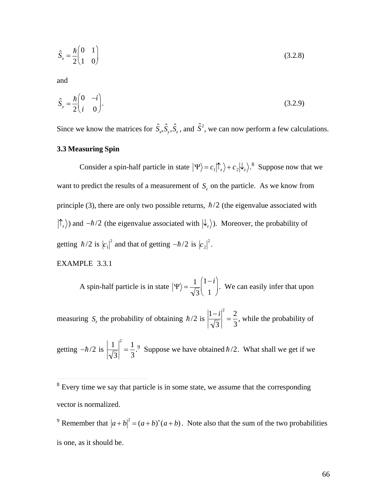$$
\hat{S}_x = \frac{\hbar \begin{pmatrix} 0 & 1 \\ 1 & 0 \end{pmatrix}}{(3.2.8)}
$$

and

$$
\hat{S}_y = \frac{\hbar}{2} \begin{pmatrix} 0 & -i \\ i & 0 \end{pmatrix} . \tag{3.2.9}
$$

Since we know the matrices for  $\hat{S}_x, \hat{S}_y, \hat{S}_z$ , and  $\hat{S}^2$ , we can now perform a few calculations.

# 3.3 Measuring Spin

Consider a spin-half particle in state  $|\Psi\rangle = c_1 |\hat{\Gamma}_z\rangle + c_2 |\hat{\lambda}_z\rangle$ .<sup>8</sup> Suppose now that we want to predict the results of a measurement of  $S_z$  on the particle. As we know from principle (3), there are only two possible returns,  $\hbar/2$  (the eigenvalue associated with  $|\uparrow_z\rangle$ ) and  $-\hbar/2$  (the eigenvalue associated with  $|\downarrow_z\rangle$ ). Moreover, the probability of getting  $\hbar/2$  is  $|c_1|^2$  and that of getting  $-\hbar/2$  is  $|c_2|^2$ .

EXAMPLE 3.3.1

A spin-half particle is in state  $|\Psi\rangle = \frac{1}{\sqrt{3}} \begin{pmatrix} 1-i \\ 1 \end{pmatrix}$ . We can easily infer that upon

measuring  $S_z$  the probability of obtaining  $\hbar/2$  is  $\left|\frac{1-i}{\sqrt{3}}\right|^2 = \frac{2}{3}$ , while the probability of

getting  $-\hbar/2$  is  $\left|\frac{1}{\sqrt{3}}\right|^2 = \frac{1}{3}$ . Suppose we have obtained  $\hbar/2$ . What shall we get if we

 $\sqrt[8]{\text{Every time}}$  we say that particle is in some state, we assume that the corresponding vector is normalized.

<sup>&</sup>lt;sup>9</sup> Remember that  $|a+b|^2 = (a+b)^*(a+b)$ . Note also that the sum of the two probabilities is one, as it should be.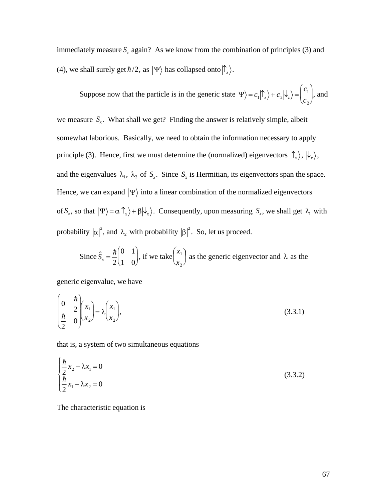immediately measure  $S_z$  again? As we know from the combination of principles (3) and (4), we shall surely get  $\hbar/2$ , as  $|\Psi\rangle$  has collapsed onto  $|\hat{\Gamma}_z\rangle$ .

Suppose now that the particle is in the generic state  $|\Psi\rangle = c_1 |\hat{\Gamma}_z\rangle + c_2 |\hat{\mathbf{k}}_z\rangle = \begin{pmatrix} c_1 \\ c \end{pmatrix}$ , and

we measure  $S_x$ . What shall we get? Finding the answer is relatively simple, albeit somewhat laborious. Basically, we need to obtain the information necessary to apply principle (3). Hence, first we must determine the (normalized) eigenvectors  $|\hat{\Gamma}_x\rangle, |\hat{\mathcal{L}}_x\rangle$ , and the eigenvalues  $\lambda_1$ ,  $\lambda_2$  of  $S_x$ . Since  $S_x$  is Hermitian, its eigenvectors span the space. Hence, we can expand  $|\Psi\rangle$  into a linear combination of the normalized eigenvectors of  $S_x$ , so that  $|\Psi\rangle = \alpha |\uparrow_x\rangle + \beta |\downarrow_x\rangle$ . Consequently, upon measuring  $S_x$ , we shall get  $\lambda_1$  with probability  $|\alpha|^2$ , and  $\lambda_2$  with probability  $|\beta|^2$ . So, let us proceed.

Since 
$$
\hat{S}_x = \frac{\hbar}{2} \begin{pmatrix} 0 & 1 \\ 1 & 0 \end{pmatrix}
$$
, if we take  $\begin{pmatrix} x_1 \\ x_2 \end{pmatrix}$  as the generic eigenvector and  $\lambda$  as the

generic eigenvalue, we have

$$
\begin{pmatrix} 0 & \frac{\hbar}{2} \\ \frac{\hbar}{2} & 0 \end{pmatrix} \begin{pmatrix} x_1 \\ x_2 \end{pmatrix} = \lambda \begin{pmatrix} x_1 \\ x_2 \end{pmatrix},
$$
\n(3.3.1)

that is, a system of two simultaneous equations

$$
\begin{cases} \frac{\hbar}{2}x_2 - \lambda x_1 = 0\\ \frac{\hbar}{2}x_1 - \lambda x_2 = 0 \end{cases}
$$
 (3.3.2)

The characteristic equation is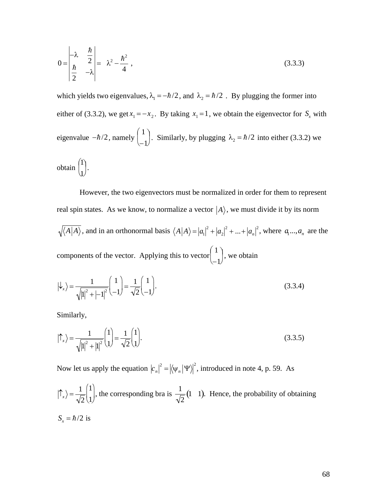$$
0 = \begin{vmatrix} -\lambda & \frac{\hbar}{2} \\ \frac{\hbar}{2} & -\lambda \end{vmatrix} = \lambda^2 - \frac{\hbar^2}{4},
$$
\n(3.3.3)

which yields two eigenvalues,  $\lambda_1 = -\hbar/2$ , and  $\lambda_2 = \hbar/2$ . By plugging the former into either of (3.3.2), we get  $x_1 = -x_2$ . By taking  $x_1 = 1$ , we obtain the eigenvector for  $S_x$  with eigenvalue  $-\hbar/2$ , namely  $\begin{pmatrix} 1 \\ -1 \end{pmatrix}$ . Similarly, by plugging  $\lambda_2 = \hbar/2$  into either (3.3.2) we obtain  $\begin{pmatrix} 1 \\ 1 \end{pmatrix}$ .

However, the two eigenvectors must be normalized in order for them to represent real spin states. As we know, to normalize a vector  $|A\rangle$ , we must divide it by its norm  $\sqrt{\langle A|A \rangle}$ , and in an orthonormal basis  $\langle A|A \rangle = |a_1|^2 + |a_2|^2 + ... + |a_n|^2$ , where  $a_1...a_n$  are the components of the vector. Applying this to vector  $\begin{pmatrix} 1 \\ -1 \end{pmatrix}$ , we obtain

$$
\left|\downarrow_{x}\right\rangle = \frac{1}{\sqrt{\left|1\right|^{2} + \left|-1\right|^{2}}} \begin{pmatrix} 1\\-1 \end{pmatrix} = \frac{1}{\sqrt{2}} \begin{pmatrix} 1\\-1 \end{pmatrix}.
$$
\n(3.3.4)

Similarly,

$$
|\uparrow_{x}\rangle = \frac{1}{\sqrt{|1|^{2}+|1|^{2}}} \begin{pmatrix} 1 \\ 1 \end{pmatrix} = \frac{1}{\sqrt{2}} \begin{pmatrix} 1 \\ 1 \end{pmatrix}.
$$
 (3.3.5)

Now let us apply the equation  $|c_n|^2 = |\langle \psi_n | \Psi \rangle|^2$ , introduced in note 4, p. 59. As

$$
|\uparrow_x\rangle = \frac{1}{\sqrt{2}} \begin{pmatrix} 1 \\ 1 \end{pmatrix}
$$
, the corresponding bra is  $\frac{1}{\sqrt{2}} (1 \quad 1)$ . Hence, the probability of obtaining  $S_x = \hbar/2$  is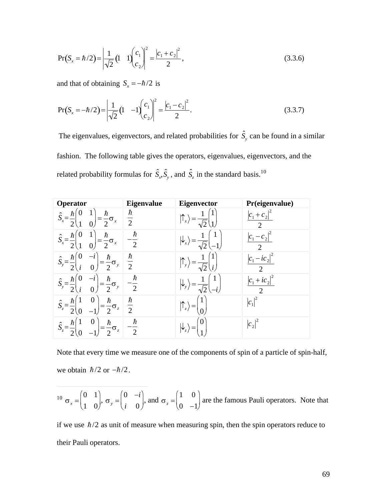$$
Pr(S_x = \hbar/2) = \left| \frac{1}{\sqrt{2}} (1 \quad 1) \begin{pmatrix} c_1 \\ c_2 \end{pmatrix} \right|^2 = \frac{\left| c_1 + c_2 \right|^2}{2},\tag{3.3.6}
$$

and that of obtaining  $S_x = -\hbar/2$  is

$$
Pr(S_x = -\hbar/2) = \left| \frac{1}{\sqrt{2}} (1 - 1) \begin{pmatrix} c_1 \\ c_2 \end{pmatrix} \right|^2 = \frac{\left| c_1 - c_2 \right|^2}{2}.
$$
 (3.3.7)

The eigenvalues, eigenvectors, and related probabilities for  $\hat{S}_y$  can be found in a similar fashion. The following table gives the operators, eigenvalues, eigenvectors, and the related probability formulas for  $\hat{S}_x$ ,  $\hat{S}_y$ , and  $\hat{S}_z$  in the standard basis.<sup>10</sup>

| Operator                                                                                          | <b>Eigenvalue</b>         | Eigenvector               | Pr(eigenvalue)                  |
|---------------------------------------------------------------------------------------------------|---------------------------|---------------------------|---------------------------------|
| ħ<br>T<br>$\hat{S}_x = -$<br>$\sigma_x$<br>$\overline{2}$<br>$\overline{0}$                       | ħ<br>$\overline{2}$       |                           | $ c_1 $<br>$+c2$                |
| $\mathbf 1$<br>ħ<br>ħ<br>O<br>$\hat{S}_x =$<br>$\sigma_{x}$<br>$\overline{2}$<br>$\boldsymbol{0}$ | ħ<br>$\overline{2}$       |                           | $\overline{2}$                  |
| ħ<br>$-\sigma_y$<br>$\overline{2}$<br>$\mathbf{\Omega}$                                           | $\hbar$<br>$\overline{2}$ |                           | $ic_2$<br>っ                     |
| ħ<br>$-\sigma_y$<br>$\overline{2}$<br>$\Omega$<br>$\iota$                                         | ħ<br>$\overline{2}$       |                           | $c_1 + i c_2$<br>$\overline{2}$ |
| $\theta$<br>ħ<br>$\hat{S}_z = -$<br>$\sigma_z$<br>$\overline{2}$<br>$\overline{2}$<br>O           | $\hbar$<br>$\overline{2}$ | $\frac{1}{z}$<br>$\theta$ | $\overline{2}$<br>$ c_1 $       |
| $\theta$<br>ħ<br>ħ<br>$\sigma_z$<br>$S_z$<br>2                                                    | ħ<br>$\overline{2}$       | $=$<br>$\mathsf{P}_z$     | $\left  {{c_{\,2}}} \right $    |

Note that every time we measure one of the components of spin of a particle of spin-half, we obtain  $\hbar/2$  or  $-\hbar/2$ .

$$
^{10} \sigma_x = \begin{pmatrix} 0 & 1 \\ 1 & 0 \end{pmatrix}, \sigma_y = \begin{pmatrix} 0 & -i \\ i & 0 \end{pmatrix}, \text{ and } \sigma_z = \begin{pmatrix} 1 & 0 \\ 0 & -1 \end{pmatrix} \text{ are the famous Pauli operators. Note that}
$$

if we use  $\hbar/2$  as unit of measure when measuring spin, then the spin operators reduce to their Pauli operators.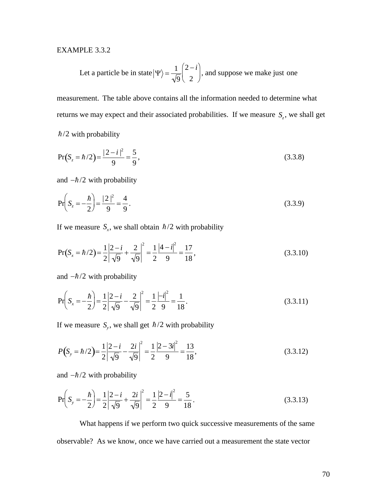# **EXAMPLE 3.3.2**

Let a particle be in state 
$$
|\Psi\rangle = \frac{1}{\sqrt{9}} \begin{pmatrix} 2 - i \\ 2 \end{pmatrix}
$$
, and suppose we make just one

measurement. The table above contains all the information needed to determine what returns we may expect and their associated probabilities. If we measure  $S_z$ , we shall get  $\hbar/2$  with probability

$$
Pr(S_z = \hbar/2) = \frac{|2 - i|^2}{9} = \frac{5}{9},
$$
\n(3.3.8)

and  $-\hbar/2$  with probability

$$
\Pr\left(S_z = -\frac{\hbar}{2}\right) = \frac{|2|^2}{9} = \frac{4}{9}.
$$
\n(3.3.9)

If we measure  $S_x$ , we shall obtain  $\hbar/2$  with probability

$$
Pr(S_x = \hbar/2) = \frac{1}{2} \left| \frac{2 - i}{\sqrt{9}} + \frac{2}{\sqrt{9}} \right|^2 = \frac{1}{2} \frac{|4 - i|^2}{9} = \frac{17}{18},
$$
\n(3.3.10)

and  $-\hbar/2$  with probability

$$
\Pr\left(S_x = -\frac{\hbar}{2}\right) = \frac{1}{2} \left|\frac{2 - i}{\sqrt{9}} - \frac{2}{\sqrt{9}}\right|^2 = \frac{1}{2} \frac{| - i |^2}{9} = \frac{1}{18}.
$$
\n(3.3.11)

If we measure  $S_y$ , we shall get  $\hbar/2$  with probability

$$
P(S_y = \hbar/2) = \frac{1}{2} \left| \frac{2 - i}{\sqrt{9}} - \frac{2i}{\sqrt{9}} \right|^2 = \frac{1}{2} \frac{|2 - 3i|^2}{9} = \frac{13}{18},
$$
\n(3.3.12)

and  $-\hbar/2$  with probability

$$
\Pr\left(S_y = -\frac{\hbar}{2}\right) = \frac{1}{2} \left|\frac{2 - i}{\sqrt{9}} + \frac{2i}{\sqrt{9}}\right|^2 = \frac{1}{2} \frac{\left|2 - i\right|^2}{9} = \frac{5}{18}.
$$
\n(3.3.13)

What happens if we perform two quick successive measurements of the same observable? As we know, once we have carried out a measurement the state vector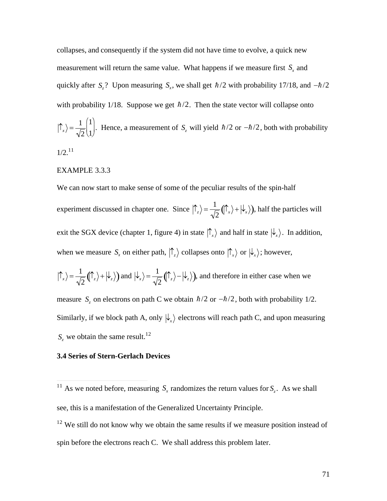collapses, and consequently if the system did not have time to evolve, a quick new measurement will return the same value. What happens if we measure first  $S<sub>x</sub>$  and quickly after  $S_z$ ? Upon measuring  $S_x$ , we shall get  $\hbar/2$  with probability 17/18, and  $-\hbar/2$ with probability 1/18. Suppose we get  $\hbar/2$ . Then the state vector will collapse onto  $\left|\uparrow_{x}\right\rangle = \frac{1}{\sqrt{2}}\begin{bmatrix}1\\1\end{bmatrix}$ . He  $2(1)$  $1\vert$   $\vert$  $1$  $\begin{pmatrix} 1 \\ 1 \end{pmatrix}$ . Hence, a measurement of  $S_z$  will yield  $\hbar/2$  or  $-\hbar/2$ , both with probability  $1/2.^{11}$ 

### EXAMPLE 3.3.3

We can now start to make sense of some of the peculiar results of the spin-half experiment discussed in chapter one. Since  $|\hat{\Gamma}_z\rangle = \frac{1}{\sqrt{2}} (|\hat{\Gamma}_x\rangle + |\hat{\Gamma}_z|)$  $|\mathbf{A}\rangle$  $\frac{1}{2}(\int_{x}^{x} \rangle + |\psi_{x}\rangle)$ , half the particles will exit the SGX device (chapter 1, figure 4) in state  $|\hat{\tau}_x\rangle$  and half in state  $|\hat{\tau}_x\rangle$ . In addition, when we measure  $S_x$  on either path,  $\langle \hat{\Gamma}_z \rangle$  collapses onto  $\langle \hat{\Gamma}_x \rangle$  or  $\langle \hat{\Gamma}_x \rangle$ ; however,  $\mathbf{v}$  $|\hat{\phi}_x\rangle = \frac{1}{\sqrt{2}} (|\hat{\phi}_z\rangle + |\hat{\phi}_z\rangle)$  and  $|\hat{\phi}_x\rangle = \frac{1}{\sqrt{2}} (|\hat{\phi}_z\rangle - |\hat{\phi}_z\rangle)$ , and therefore in either case when we Similarly, if we block path A, only  $\ket{\downarrow_x}$  electrons will reach path C, and upon measuring measure  $S_z$  on electrons on path C we obtain  $\hbar/2$  or  $-\hbar/2$ , both with probability 1/2.

 $S_z$  we obtain the same result.<sup>12</sup>

 $\overline{a}$ 

#### $\mathbf{r}$ **3.4 Series of Stern-Gerlach Devices**

<sup>&</sup>lt;sup>11</sup> As we noted before, measuring  $S_x$  randomizes the return values for  $S_z$ . As we shall see, this is a manifestation of the Generalized Uncertainty Principle.

 $12$  We still do not know why we obtain the same results if we measure position instead of spin before the electrons reach C. We shall address this problem later.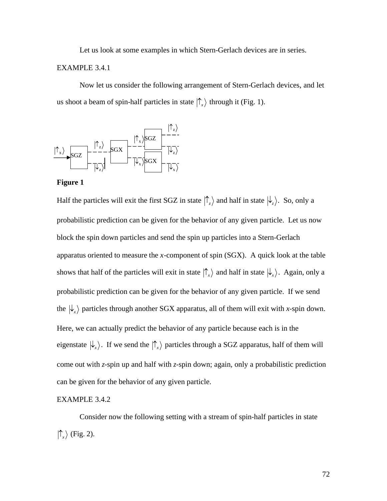Let us look at some examples in which Stern-Gerlach devices are in series.

# EXAMPLE 3.4.1

Now let us consider the following arrangement of Stern-Gerlach devices, and let us shoot a beam of spin-half particles in state  $|\uparrow_x\rangle$  through it (Fig. 1).





Half the particles will exit the first SGZ in state  $|\uparrow_z\rangle$  and half in state  $|\downarrow_z\rangle$ . So, only a block the spin down particles and send the spin up particles into a Stern-Gerlach probabilistic prediction can be given for the behavior of any given particle. Let us now apparatus oriented to measure the *x*-component of spin (SGX). A quick look at the table shows that half of the particles will exit in state  $|\uparrow_x\rangle$  and half in state  $|\downarrow_x\rangle$ . Again, only a the  $|\psi_x\rangle$  particles through another SGX apparatus, all of them will exit with *x*-spin down. probabilistic prediction can be given for the behavior of any given particle. If we send  $\mathbf{r}$ Here, we can actually predict the behavior of any particle because each is in the eigenstate  $\ket{\downarrow_x}$ . If we send the  $\ket{\uparrow_x}$  particles through a SGZ apparatus, half of them will can be given for the behavior of any given particle. come out with *z*-spin up and half with *z*-spin down; again, only a probabilistic prediction

#### EXAMPLE 3.4.2

Consider now the following setting with a stream of spin-half particles in state  $\langle \uparrow_x \rangle$  (Fig. 2).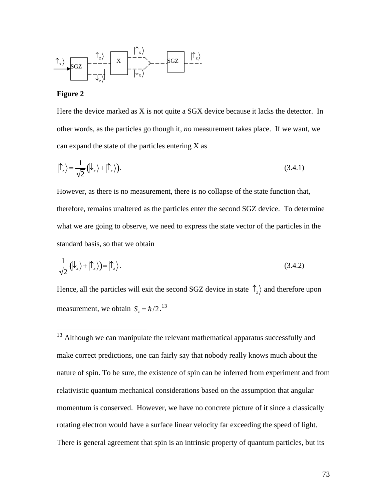

## **Figure 2**

 $\overline{a}$ 

Here the device marked as X is not quite a SGX device because it lacks the detector. In other words, as the particles go though it, *no* measurement takes place. If we want, we can expand the state of the particles entering  $X$  as

$$
|\!\uparrow_z\rangle = \frac{1}{\sqrt{2}} \left(\!\downarrow_x\right\rangle + \left|\!\uparrow_x\right\rangle\right). \tag{3.4.1}
$$

However, as there is no measurement, there is no collapse of the state function that, therefore, remains unaltered as the particles enter the second SGZ device. To determine what we are going to observe, we need to express the state vector of the particles in the standard basis, so that we obtain

$$
\frac{1}{\sqrt{2}}(\downarrow_x\rangle + |\uparrow_x\rangle) = |\uparrow_z\rangle. \tag{3.4.2}
$$

Hence, all the particles will exit the second SGZ device in state  $\langle \hat{\Gamma}_z \rangle$  and therefore upon measurement, we obtain  $S_z = \hbar/2$ .<sup>13</sup>

 $\frac{1}{2}$ <sup>13</sup> Although we can manipulate the relevant mathematical apparatus successfully and make correct predictions, one can fairly say that nobody really knows much about the nature of spin. To be sure, the existence of spin can be inferred from experiment and from relativistic quantum mechanical considerations based on the assumption that angular momentum is conserved. However, we have no concrete picture of it since a classically rotating electron would have a surface linear velocity far exceeding the speed of light. There is general agreement that spin is an intrinsic property of quantum particles, but its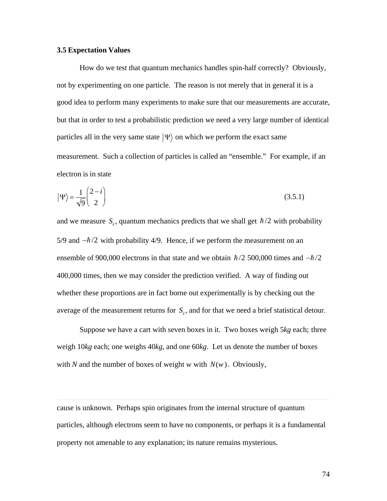#### **3.5 Expectation Values**

How do we test that quantum mechanics handles spin-half correctly? Obviously, not by experimenting on one particle. The reason is not merely that in general it is a good idea to perform many experiments to make sure that our measurements are accurate, but that in order to test a probabilistic prediction we need a very large number of identical particles all in the very same state  $|\Psi\rangle$  on which we perform the exact same measurement. Such a collection of particles is called an "ensemble." For example, if an electron is in state

$$
|\Psi\rangle = \frac{1}{\sqrt{9}} \begin{pmatrix} 2 - i \\ 2 \end{pmatrix}
$$
 (3.5.1)

and we measure  $S_z$ , quantum mechanics predicts that we shall get  $\hbar/2$  with probability 5/9 and  $-\hbar/2$  with probability 4/9. Hence, if we perform the measurement on an ensemble of 900,000 electrons in that state and we obtain  $\hbar/2$  500,000 times and  $-\hbar/2$ 400,000 times, then we may consider the prediction verified. A way of finding out whether these proportions are in fact borne out experimentally is by checking out the average of the measurement returns for  $S<sub>z</sub>$ , and for that we need a brief statistical detour.

Suppose we have a cart with seven boxes in it. Two boxes weigh 5kg each; three weigh  $10kg$  each; one weighs  $40kg$ , and one  $60kg$ . Let us denote the number of boxes with N and the number of boxes of weight w with  $N(w)$ . Obviously,

cause is unknown. Perhaps spin originates from the internal structure of quantum particles, although electrons seem to have no components, or perhaps it is a fundamental property not amenable to any explanation; its nature remains mysterious.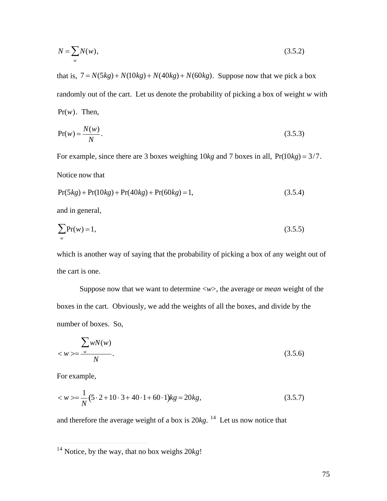$$
N = \sum_{w} N(w),\tag{3.5.2}
$$

that is,  $7 = N(5kg) + N(10kg) + N(40kg) + N(60kg)$ . Suppose now that we pick a box  $Pr(w)$ . Then, randomly out of the cart. Let us denote the probability of picking a box of weight *w* with

$$
\Pr(w) = \frac{N(w)}{N}.\tag{3.5.3}
$$

For example, since there are 3 boxes weighing 10*kg* and 7 boxes in all, Pr(10*kg*) = 3/7.

Notice now that

$$
Pr(5kg) + Pr(10kg) + Pr(40kg) + Pr(60kg) = 1,
$$
\n(3.5.4)

and in general,

$$
\sum_{w} \Pr(w) = 1,\tag{3.5.5}
$$

which is another way of saying that the probability of picking a box of any weight out of the cart is one.

Suppose now that we want to determine <*w*>, the average or *mean* weight of the boxes in the cart. Obviously, we add the weights of all the boxes, and divide by the number of boxes. So,

$$
\frac{\sum wN(w)}{N}.
$$
\n
$$
\left(\frac{3.5.6}{2}\right)
$$
\n
$$
\left(\frac{3.5.6}{2}\right)
$$

For example,

 $\overline{a}$ 

$$
\langle w \rangle = \frac{1}{N} (5 \cdot 2 + 10 \cdot 3 + 40 \cdot 1 + 60 \cdot 1) kg = 20 kg, \tag{3.5.7}
$$

and therefore the average weight of a box is 20*kg*. <sup>14</sup> Let us now notice that

<sup>14</sup> Notice, by the way, that no box weighs 20*kg*!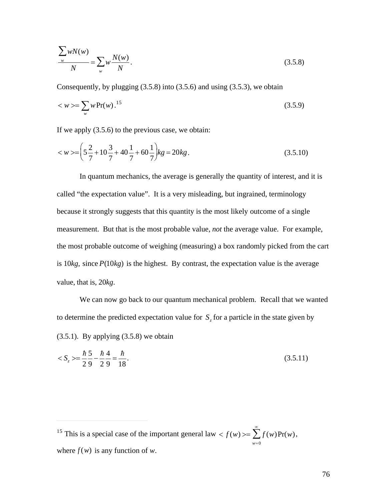$$
\frac{\sum_{w} wN(w)}{N} = \sum_{w} w \frac{N(w)}{N}.
$$
\n(3.5.8)

Consequently, by plugging  $(3.5.8)$  into  $(3.5.6)$  and using  $(3.5.3)$ , we obtain

$$
\langle w \rangle = \sum_{w} w \Pr(w).^{15} \tag{3.5.9}
$$

If we apply  $(3.5.6)$  to the previous case, we obtain:

$$
\langle w \rangle = \left(5\frac{2}{7} + 10\frac{3}{7} + 40\frac{1}{7} + 60\frac{1}{7}\right)kg = 20kg.
$$
 (3.5.10)

In quantum mechanics, the average is generally the quantity of interest, and it is called "the expectation value". It is a very misleading, but ingrained, terminology because it strongly suggests that this quantity is the most likely outcome of a single measurement. But that is the most probable value, not the average value. For example, the most probable outcome of weighing (measuring) a box randomly picked from the cart is  $10kg$ , since  $P(10kg)$  is the highest. By contrast, the expectation value is the average value, that is,  $20kg$ .

We can now go back to our quantum mechanical problem. Recall that we wanted to determine the predicted expectation value for  $S<sub>z</sub>$  for a particle in the state given by  $(3.5.1)$ . By applying  $(3.5.8)$  we obtain

$$
\langle S_z \rangle = \frac{\hbar}{2} \frac{5}{9} - \frac{\hbar}{2} \frac{4}{9} = \frac{\hbar}{18}.
$$
\n(3.5.11)

<sup>15</sup> This is a special case of the important general law <  $f(w)$  >=  $\sum_{w=0}^{\infty} f(w)Pr(w)$ , where  $f(w)$  is any function of w.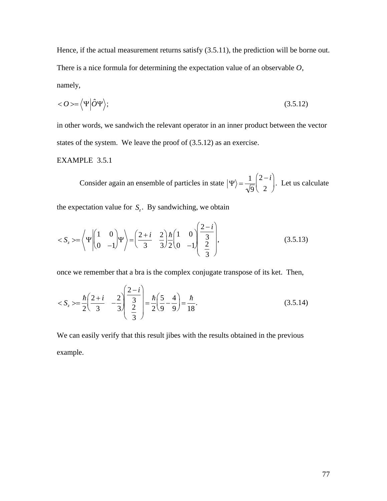Hence, if the actual measurement returns satisfy  $(3.5.11)$ , the prediction will be borne out. There is a nice formula for determining the expectation value of an observable  $O$ , namely,

$$
\langle O \rangle = \langle \Psi | \hat{O} \Psi \rangle; \tag{3.5.12}
$$

in other words, we sandwich the relevant operator in an inner product between the vector states of the system. We leave the proof of  $(3.5.12)$  as an exercise.

# EXAMPLE 3.5.1

Consider again an ensemble of particles in state  $|\Psi\rangle = \frac{1}{\sqrt{9}} \begin{pmatrix} 2 - i \\ 2 \end{pmatrix}$ . Let us calculate

the expectation value for  $S_{\rho}$ . By sandwiching, we obtain

$$
\langle S_z \rangle = \left\langle \Psi \begin{pmatrix} 1 & 0 \\ 0 & -1 \end{pmatrix} \Psi \right\rangle = \left( \frac{2+i}{3} - \frac{2}{3} \right) \frac{\hbar}{2} \begin{pmatrix} 1 & 0 \\ 0 & -1 \end{pmatrix} \begin{pmatrix} \frac{2-i}{3} \\ \frac{2}{3} \end{pmatrix},\tag{3.5.13}
$$

once we remember that a bra is the complex conjugate transpose of its ket. Then,

$$
\langle S_z \rangle = \frac{\hbar}{2} \left( \frac{2+i}{3} - \frac{2}{3} \right) \left( \frac{2-i}{3} \right) = \frac{\hbar}{2} \left( \frac{5}{9} - \frac{4}{9} \right) = \frac{\hbar}{18}.
$$
 (3.5.14)

We can easily verify that this result jibes with the results obtained in the previous example.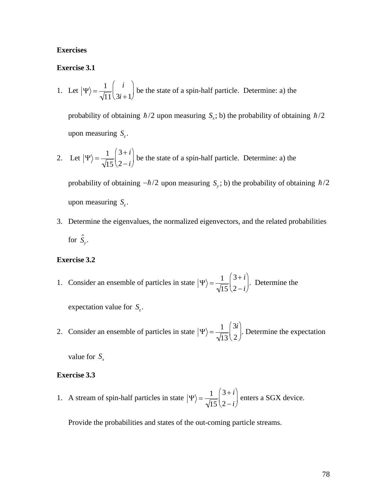# **Exercises**

#### **Exercise 3.1**

1. Let 
$$
|\Psi\rangle = \frac{1}{\sqrt{11}} \begin{pmatrix} i \\ 3i + 1 \end{pmatrix}
$$
 be the state of a spin-half particle. Determine: a) the

probability of obtaining  $\hbar/2$  upon measuring  $S_x$ ; b) the probability of obtaining  $\hbar/2$ upon measuring  $S_{\tau}$ .

2. Let  $|\Psi\rangle = \frac{1}{\sqrt{15}} \begin{pmatrix} 3+i \\ 2-i \end{pmatrix}$  be the state of a spin-half particle. Determine: a) the

probability of obtaining  $-\hbar/2$  upon measuring  $S_y$ ; b) the probability of obtaining  $\hbar/2$ upon measuring  $S_z$ .

3. Determine the eigenvalues, the normalized eigenvectors, and the related probabilities for  $\hat{S}_y$ .

### **Exercise 3.2**

1. Consider an ensemble of particles in state  $|\Psi\rangle = \frac{1}{\sqrt{15}} \begin{pmatrix} 3+i \\ 2-i \end{pmatrix}$ . Determine the

expectation value for  $S_z$ .

2. Consider an ensemble of particles in state  $|\Psi\rangle = \frac{1}{\sqrt{13}} \begin{pmatrix} 3i \\ 2 \end{pmatrix}$ . Determine the expectation

value for  $S_x$ 

#### **Exercise 3.3**

1. A stream of spin-half particles in state  $|\Psi\rangle = \frac{1}{\sqrt{15}} \begin{pmatrix} 3+i \\ 2-i \end{pmatrix}$  enters a SGX device.

Provide the probabilities and states of the out-coming particle streams.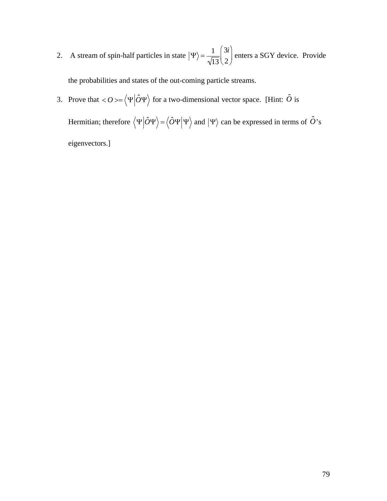2. A stream of spin-half particles in state  $|\Psi\rangle = \frac{1}{\sqrt{13}} \begin{pmatrix} 3i \\ 2 \end{pmatrix}$  enters a SGY device. Provide

the probabilities and states of the out-coming particle streams.

3. Prove that  $\langle O \rangle = \langle \Psi | \hat{O} \Psi \rangle$  for a two-dimensional vector space. [Hint:  $\hat{O}$  is

Hermitian; therefore  $\langle \Psi | \hat{O} \Psi \rangle = \langle \hat{O} \Psi | \Psi \rangle$  and  $| \Psi \rangle$  can be expressed in terms of  $\hat{O}$ 's eigenvectors.]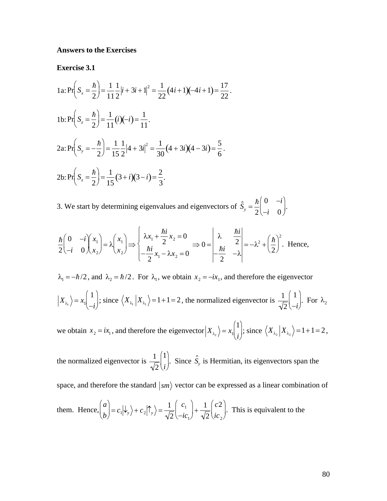## **Answers to the Exercises**

**Exercise 3.1** 

1a: 
$$
Pr\left(S_x = \frac{\hbar}{2}\right) = \frac{1}{11} \frac{1}{2} |i + 3i + 1|^2 = \frac{1}{22} (4i + 1)(-4i + 1) = \frac{17}{22}.
$$
  
\n1b:  $Pr\left(S_z = \frac{\hbar}{2}\right) = \frac{1}{11} (i)(-i) = \frac{1}{11}.$   
\n2a:  $Pr\left(S_y = -\frac{\hbar}{2}\right) = \frac{1}{15} \frac{1}{2} |4 + 3i|^2 = \frac{1}{30} (4 + 3i)(4 - 3i) = \frac{5}{6}.$   
\n2b:  $Pr\left(S_z = \frac{\hbar}{2}\right) = \frac{1}{15} (3 + i)(3 - i) = \frac{2}{3}.$ 

3. We start by determining eigenvalues and eigenvectors of  $\hat{S}_y = \frac{\hbar}{2} \begin{pmatrix} 0 & -i \\ -i & 0 \end{pmatrix}$ .

$$
\frac{\hbar}{2}\begin{pmatrix} 0 & -i \\ -i & 0 \end{pmatrix} \begin{pmatrix} x_1 \\ x_2 \end{pmatrix} = \lambda \begin{pmatrix} x_1 \\ x_2 \end{pmatrix} \Longrightarrow \begin{cases} \lambda x_1 + \frac{\hbar i}{2} x_2 = 0 \\ -\frac{\hbar i}{2} x_1 - \lambda x_2 = 0 \end{cases} \Longrightarrow 0 = \begin{vmatrix} \lambda & \frac{\hbar i}{2} \\ -\frac{\hbar i}{2} & -\lambda \end{vmatrix} = -\lambda^2 + \left(\frac{\hbar}{2}\right)^2. \text{ Hence,}
$$

 $\lambda_1 = -\hbar/2$ , and  $\lambda_2 = \hbar/2$ . For  $\lambda_1$ , we obtain  $x_2 = -ix_1$ , and therefore the eigenvector

$$
|X_{\lambda_1}\rangle = x_1 \begin{pmatrix} 1 \\ -i \end{pmatrix}
$$
; since  $\langle X_{\lambda_1} | X_{\lambda_1} \rangle = 1 + 1 = 2$ , the normalized eigenvector is  $\frac{1}{\sqrt{2}} \begin{pmatrix} 1 \\ -i \end{pmatrix}$ . For  $\lambda_2$ 

we obtain  $x_2 = ix_1$ , and therefore the eigenvector  $X_{\lambda_2} = x_1 \begin{pmatrix} 1 \\ i \end{pmatrix}$ ; since  $\langle X_{\lambda_2} | X_{\lambda_2} \rangle = 1 + 1 = 2$ ,

the normalized eigenvector is  $\frac{1}{\sqrt{2}}\begin{pmatrix}1\\i\end{pmatrix}$ . Since  $\hat{S}_y$  is Hermitian, its eigenvectors span the space, and therefore the standard  $\ket{sm}$  vector can be expressed as a linear combination of them. Hence,  $\binom{a}{b} = c_1 |\psi_y\rangle + c_2 |\hat{\mathcal{T}}_y\rangle = \frac{1}{\sqrt{2}} \binom{c_1}{-ic} + \frac{1}{\sqrt{2}} \binom{c_2}{ic_2}$ . This is equivalent to the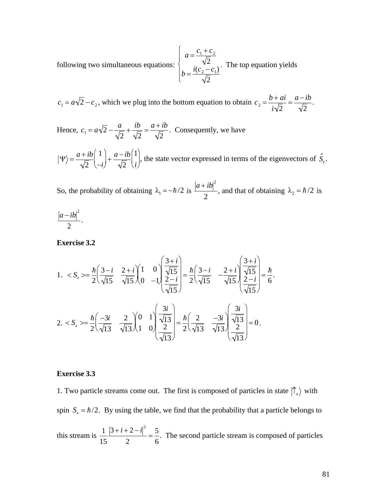following two simultaneous equations:  $\begin{cases} a = \frac{c_1 + c_2}{\sqrt{2}} \\ b = \frac{i(c_2 - c_1)}{\sqrt{2}} \end{cases}$ . The top equation yields

 $c_1 = a\sqrt{2} - c_2$ , which we plug into the bottom equation to obtain  $c_2 = \frac{b+ai}{i\sqrt{2}} = \frac{a-ib}{\sqrt{2}}$ .

Hence,  $c_1 = a\sqrt{2} - \frac{a}{\sqrt{2}} + \frac{ib}{\sqrt{2}} = \frac{a+ib}{\sqrt{2}}$ . Consequently, we have

 $|\Psi\rangle = \frac{a+ib}{\sqrt{2}} \left(\frac{1}{-i}\right) + \frac{a-ib}{\sqrt{2}} \left(\frac{1}{i}\right)$ , the state vector expressed in terms of the eigenvectors of  $\hat{S}_y$ .

So, the probability of obtaining  $\lambda_1 = -\hbar/2$  is  $\frac{|a+ib|^2}{2}$ , and that of obtaining  $\lambda_2 = \hbar/2$  is

$$
\frac{|a-ib|^2}{2}
$$

**Exercise 3.2** 

1. 
$$
= \frac{\hbar}{2} \left( \frac{3-i}{\sqrt{15}} - \frac{2+i}{\sqrt{15}} \right) \left( \frac{1}{0} - 1 \right) \left( \frac{\frac{3+i}{\sqrt{15}}}{\frac{2-i}{\sqrt{15}}} \right) = \frac{\hbar}{2} \left( \frac{3-i}{\sqrt{15}} - \frac{2+i}{\sqrt{15}} \right) \left( \frac{\frac{3+i}{\sqrt{15}}}{\frac{2-i}{\sqrt{15}}} \right) = \frac{\hbar}{6}
$$
  
2.  $= \frac{\hbar}{2} \left( \frac{-3i}{\sqrt{13}} - \frac{2}{\sqrt{13}} \right) \left( \frac{0}{0} - 1 \right) \left( \frac{\frac{3i}{\sqrt{13}}}{\frac{2}{\sqrt{13}}} \right) = \frac{\hbar}{2} \left( \frac{2}{\sqrt{13}} - \frac{-3i}{\sqrt{13}} \right) \left( \frac{\frac{3i}{\sqrt{13}}}{\frac{2}{\sqrt{13}}} \right) = 0.$ 

## **Exercise 3.3**

1. Two particle streams come out. The first is composed of particles in state  $|\hat{\Gamma}_x\rangle$  with spin  $S_x = \hbar/2$ . By using the table, we find that the probability that a particle belongs to this stream is  $\frac{1}{15} \frac{|3+i+2-i|^2}{2} = \frac{5}{6}$ . The second particle stream is composed of particles